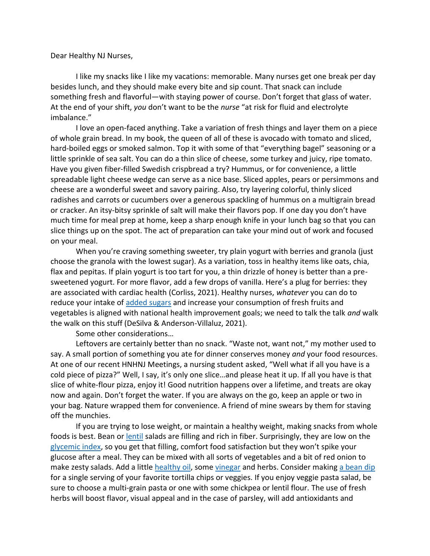Dear Healthy NJ Nurses,

I like my snacks like I like my vacations: memorable. Many nurses get one break per day besides lunch, and they should make every bite and sip count. That snack can include something fresh and flavorful—with staying power of course. Don't forget that glass of water. At the end of your shift, *you* don't want to be the *nurse* "at risk for fluid and electrolyte imbalance."

I love an open-faced anything. Take a variation of fresh things and layer them on a piece of whole grain bread. In my book, the queen of all of these is avocado with tomato and sliced, hard-boiled eggs or smoked salmon. Top it with some of that "everything bagel" seasoning or a little sprinkle of sea salt. You can do a thin slice of cheese, some turkey and juicy, ripe tomato. Have you given fiber-filled Swedish crispbread a try? Hummus, or for convenience, a little spreadable light cheese wedge can serve as a nice base. Sliced apples, pears or persimmons and cheese are a wonderful sweet and savory pairing. Also, try layering colorful, thinly sliced radishes and carrots or cucumbers over a generous spackling of hummus on a multigrain bread or cracker. An itsy-bitsy sprinkle of salt will make their flavors pop. If one day you don't have much time for meal prep at home, keep a sharp enough knife in your lunch bag so that you can slice things up on the spot. The act of preparation can take your mind out of work and focused on your meal.

When you're craving something sweeter, try plain yogurt with berries and granola (just choose the granola with the lowest sugar). As a variation, toss in healthy items like oats, chia, flax and pepitas. If plain yogurt is too tart for you, a thin drizzle of honey is better than a presweetened yogurt. For more flavor, add a few drops of vanilla. Here's a plug for berries: they are associated with cardiac health (Corliss, 2021). Healthy nurses, *whatever* you can do to reduce your intake of [added sugars](https://health.gov/sites/default/files/2019-10/DGA_Cut-Down-On-Added-Sugars.pdf) and increase your consumption of fresh fruits and vegetables is aligned with national health improvement goals; we need to talk the talk *and* walk the walk on this stuff (DeSilva & Anderson-Villaluz, 2021).

Some other considerations…

Leftovers are certainly better than no snack. "Waste not, want not," my mother used to say. A small portion of something you ate for dinner conserves money *and* your food resources. At one of our recent HNHNJ Meetings, a nursing student asked, "Well what if all you have is a cold piece of pizza?" Well, I say, it's only one slice…and please heat it up. If all you have is that slice of white-flour pizza, enjoy it! Good nutrition happens over a lifetime, and treats are okay now and again. Don't forget the water. If you are always on the go, keep an apple or two in your bag. Nature wrapped them for convenience. A friend of mine swears by them for staving off the munchies.

If you are trying to lose weight, or maintain a healthy weight, making snacks from whole foods is best. Bean or **lentil** salads are filling and rich in fiber. Surprisingly, they are low on the [glycemic index,](https://www.fammed.wisc.edu/files/webfm-uploads/documents/outreach/im/handout_glycemic_index_patient.pdf) so you get that filling, comfort food satisfaction but they won't spike your glucose after a meal. They can be mixed with all sorts of vegetables and a bit of red onion to make zesty salads. Add a little [healthy oil,](https://time.com/5342337/best-worst-cooking-oils-for-your-health/) some [vinegar](https://www.hsph.harvard.edu/nutritionsource/food-features/vinegar/) and herbs. Consider making [a bean dip](https://www.eatingwell.com/recipes/18800/appetizer/dips-spreads/bean/) for a single serving of your favorite tortilla chips or veggies. If you enjoy veggie pasta salad, be sure to choose a multi-grain pasta or one with some chickpea or lentil flour. The use of fresh herbs will boost flavor, visual appeal and in the case of parsley, will add antioxidants and